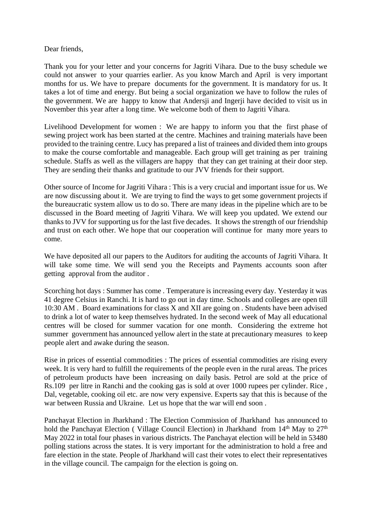Dear friends,

Thank you for your letter and your concerns for Jagriti Vihara. Due to the busy schedule we could not answer to your quarries earlier. As you know March and April is very important months for us. We have to prepare documents for the government. It is mandatory for us. It takes a lot of time and energy. But being a social organization we have to follow the rules of the government. We are happy to know that Andersji and Ingerji have decided to visit us in November this year after a long time. We welcome both of them to Jagriti Vihara.

Livelihood Development for women : We are happy to inform you that the first phase of sewing project work has been started at the centre. Machines and training materials have been provided to the training centre. Lucy has prepared a list of trainees and divided them into groups to make the course comfortable and manageable. Each group will get training as per training schedule. Staffs as well as the villagers are happy that they can get training at their door step. They are sending their thanks and gratitude to our JVV friends for their support.

Other source of Income for Jagriti Vihara : This is a very crucial and important issue for us. We are now discussing about it. We are trying to find the ways to get some government projects if the bureaucratic system allow us to do so. There are many ideas in the pipeline which are to be discussed in the Board meeting of Jagriti Vihara. We will keep you updated. We extend our thanks to JVV for supporting us for the last five decades. It shows the strength of our friendship and trust on each other. We hope that our cooperation will continue for many more years to come.

We have deposited all our papers to the Auditors for auditing the accounts of Jagriti Vihara. It will take some time. We will send you the Receipts and Payments accounts soon after getting approval from the auditor .

Scorching hot days : Summer has come . Temperature is increasing every day. Yesterday it was 41 degree Celsius in Ranchi. It is hard to go out in day time. Schools and colleges are open till 10:30 AM . Board examinations for class X and XII are going on . Students have been advised to drink a lot of water to keep themselves hydrated. In the second week of May all educational centres will be closed for summer vacation for one month. Considering the extreme hot summer government has announced yellow alert in the state at precautionary measures to keep people alert and awake during the season.

Rise in prices of essential commodities : The prices of essential commodities are rising every week. It is very hard to fulfill the requirements of the people even in the rural areas. The prices of petroleum products have been increasing on daily basis. Petrol are sold at the price of Rs.109 per litre in Ranchi and the cooking gas is sold at over 1000 rupees per cylinder. Rice , Dal, vegetable, cooking oil etc. are now very expensive. Experts say that this is because of the war between Russia and Ukraine. Let us hope that the war will end soon .

Panchayat Election in Jharkhand : The Election Commission of Jharkhand has announced to hold the Panchayat Election ( Village Council Election) in Jharkhand from  $14<sup>th</sup>$  May to  $27<sup>th</sup>$ May 2022 in total four phases in various districts. The Panchayat election will be held in 53480 polling stations across the states. It is very important for the administration to hold a free and fare election in the state. People of Jharkhand will cast their votes to elect their representatives in the village council. The campaign for the election is going on.